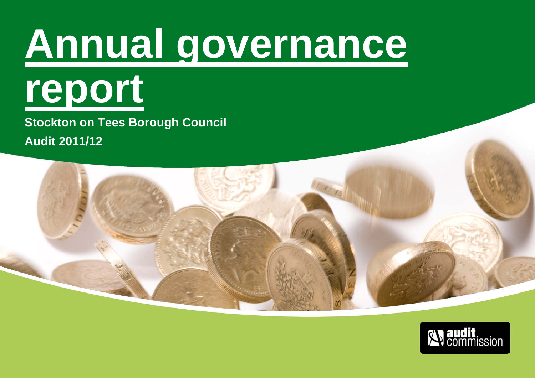# **Annual governance**



**Stockton on Tees Borough Council Audit 2011/12** 

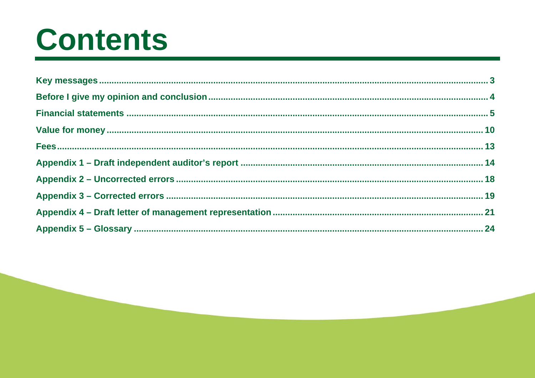## **Contents**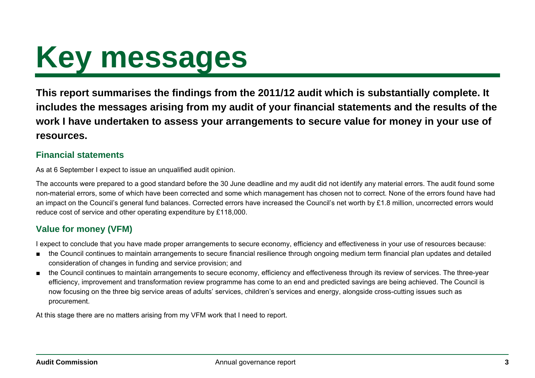# <span id="page-2-0"></span>**Key messages**

**This report summarises the findings from the 2011/12 audit which is substantially complete. It includes the messages arising from my audit of your financial statements and the results of the work I have undertaken to assess your arrangements to secure value for money in your use of resources.** 

#### **Financial statements**

As at 6 September I expect to issue an unqualified audit opinion.

The accounts were prepared to a good standard before the 30 June deadline and my audit did not identify any material errors. The audit found some non-material errors, some of which have been corrected and some which management has chosen not to correct. None of the errors found have had an impact on the Council's general fund balances. Corrected errors have increased the Council's net worth by £1.8 million, uncorrected errors would reduce cost of service and other operating expenditure by £118,000.

### **Value for money (VFM)**

I expect to conclude that you have made proper arrangements to secure economy, efficiency and effectiveness in your use of resources because:

- the Council continues to maintain arrangements to secure financial resilience through ongoing medium term financial plan updates and detailed consideration of changes in funding and service provision; and
- the Council continues to maintain arrangements to secure economy, efficiency and effectiveness through its review of services. The three-year efficiency, improvement and transformation review programme has come to an end and predicted savings are being achieved. The Council is now focusing on the three big service areas of adults' services, children's services and energy, alongside cross-cutting issues such as procurement.

At this stage there are no matters arising from my VFM work that I need to report.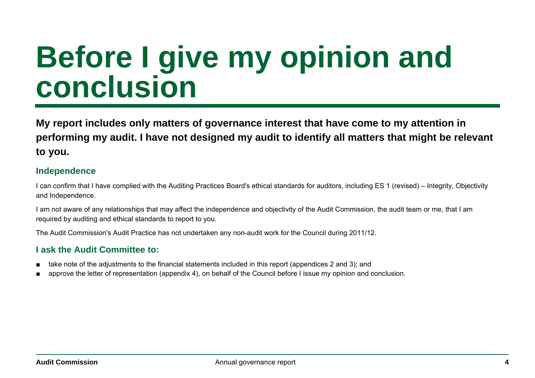### <span id="page-3-0"></span>**Before I give my opinion and conclusion**

**My report includes only matters of governance interest that have come to my attention in performing my audit. I have not designed my audit to identify all matters that might be relevant to you.** 

#### **Independence**

I can confirm that I have complied with the Auditing Practices Board's ethical standards for auditors, including ES 1 (revised) – Integrity, Objectivity and Independence.

I am not aware of any relationships that may affect the independence and objectivity of the Audit Commission, the audit team or me, that I am required by auditing and ethical standards to report to you.

The Audit Commission's Audit Practice has not undertaken any non-audit work for the Council during 2011/12.

#### **I ask the Audit Committee to:**

- take note of the adjustments to the financial statements included in this report (appendices 2 and 3); and
- approve the letter of representation (appendix 4), on behalf of the Council before I issue my opinion and conclusion.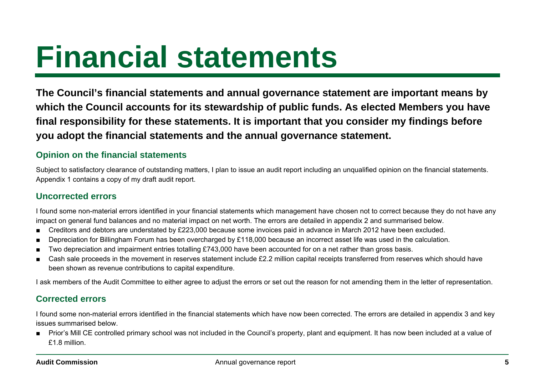## <span id="page-4-0"></span>**Financial statements**

**The Council's financial statements and annual governance statement are important means by which the Council accounts for its stewardship of public funds. As elected Members you have final responsibility for these statements. It is important that you consider my findings before you adopt the financial statements and the annual governance statement.** 

#### **Opinion on the financial statements**

Subject to satisfactory clearance of outstanding matters, I plan to issue an audit report including an unqualified opinion on the financial statements. Appendix 1 contains a copy of my draft audit report.

#### **Uncorrected errors**

I found some non-material errors identified in your financial statements which management have chosen not to correct because they do not have any impact on general fund balances and no material impact on net worth. The errors are detailed in appendix 2 and summarised below.

- Creditors and debtors are understated by £223,000 because some invoices paid in advance in March 2012 have been excluded.
- Depreciation for Billingham Forum has been overcharged by £118,000 because an incorrect asset life was used in the calculation.
- Two depreciation and impairment entries totalling £743,000 have been accounted for on a net rather than gross basis.
- Cash sale proceeds in the movement in reserves statement include £2.2 million capital receipts transferred from reserves which should have been shown as revenue contributions to capital expenditure.

I ask members of the Audit Committee to either agree to adjust the errors or set out the reason for not amending them in the letter of representation.

### **Corrected errors**

I found some non-material errors identified in the financial statements which have now been corrected. The errors are detailed in appendix 3 and key issues summarised below.

■ Prior's Mill CE controlled primary school was not included in the Council's property, plant and equipment. It has now been included at a value of £1.8 million.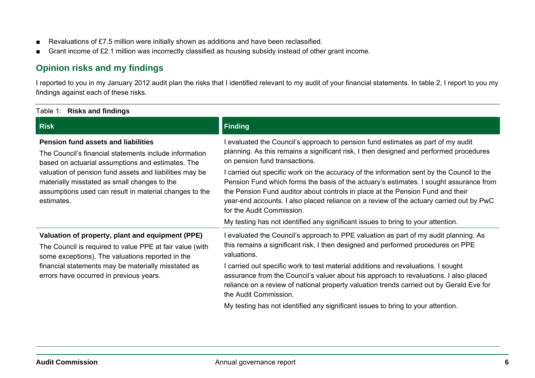- Revaluations of £7.5 million were initially shown as additions and have been reclassified.
- Grant income of £2.1 million was incorrectly classified as housing subsidy instead of other grant income.

#### **Opinion risks and my findings**

I reported to you in my January 2012 audit plan the risks that I identified relevant to my audit of your financial statements. In table 2, I report to you my findings against each of these risks.

| Table 1: Risks and findings                                                                                                                                                                                                                                                                                                                  |                                                                                                                                                                                                                                                                                                                                                                                               |
|----------------------------------------------------------------------------------------------------------------------------------------------------------------------------------------------------------------------------------------------------------------------------------------------------------------------------------------------|-----------------------------------------------------------------------------------------------------------------------------------------------------------------------------------------------------------------------------------------------------------------------------------------------------------------------------------------------------------------------------------------------|
| <b>Risk</b>                                                                                                                                                                                                                                                                                                                                  | Finding                                                                                                                                                                                                                                                                                                                                                                                       |
| <b>Pension fund assets and liabilities</b><br>The Council's financial statements include information<br>based on actuarial assumptions and estimates. The<br>valuation of pension fund assets and liabilities may be<br>materially misstated as small changes to the<br>assumptions used can result in material changes to the<br>estimates. | I evaluated the Council's approach to pension fund estimates as part of my audit<br>planning. As this remains a significant risk, I then designed and performed procedures<br>on pension fund transactions.                                                                                                                                                                                   |
|                                                                                                                                                                                                                                                                                                                                              | I carried out specific work on the accuracy of the information sent by the Council to the<br>Pension Fund which forms the basis of the actuary's estimates. I sought assurance from<br>the Pension Fund auditor about controls in place at the Pension Fund and their<br>year-end accounts. I also placed reliance on a review of the actuary carried out by PwC<br>for the Audit Commission. |
|                                                                                                                                                                                                                                                                                                                                              | My testing has not identified any significant issues to bring to your attention.                                                                                                                                                                                                                                                                                                              |
| Valuation of property, plant and equipment (PPE)<br>The Council is required to value PPE at fair value (with<br>some exceptions). The valuations reported in the                                                                                                                                                                             | I evaluated the Council's approach to PPE valuation as part of my audit planning. As<br>this remains a significant risk, I then designed and performed procedures on PPE<br>valuations.                                                                                                                                                                                                       |
| financial statements may be materially misstated as<br>errors have occurred in previous years.                                                                                                                                                                                                                                               | I carried out specific work to test material additions and revaluations. I sought<br>assurance from the Council's valuer about his approach to revaluations. I also placed<br>reliance on a review of national property valuation trends carried out by Gerald Eve for<br>the Audit Commission.                                                                                               |
|                                                                                                                                                                                                                                                                                                                                              | My testing has not identified any significant issues to bring to your attention.                                                                                                                                                                                                                                                                                                              |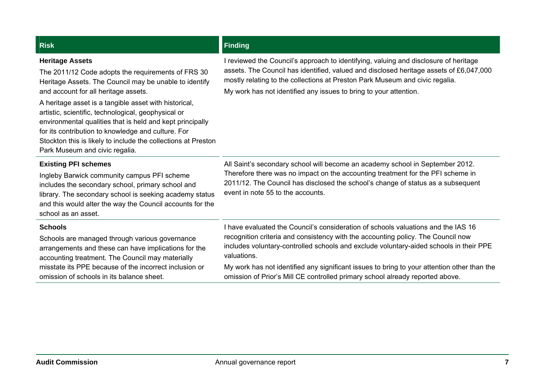#### **Heritage Assets**  The 2011/12 Code adopts the requirements of FRS 30 Heritage Assets. The Council may be unable to identify and account for all heritage assets. A heritage asset is a tangible asset with historical, artistic, scientific, technological, geophysical or environmental qualities that is held and kept principally for its contribution to knowledge and culture. For Stockton this is likely to include the collections at Preston Park Museum and civic regalia. I reviewed the Council's approach to identifying, valuing and disclosure of heritage assets. The Council has identified, valued and disclosed heritage assets of £6,047,000 mostly relating to the collections at Preston Park Museum and civic regalia. My work has not identified any issues to bring to your attention. **Existing PFI schemes**  Ingleby Barwick community campus PFI scheme includes the secondary school, primary school and library. The secondary school is seeking academy status and this would alter the way the Council accounts for the school as an asset. All Saint's secondary school will become an academy school in September 2012. Therefore there was no impact on the accounting treatment for the PFI scheme in 2011/12. The Council has disclosed the school's change of status as a subsequent event in note 55 to the accounts. **Schools** Schools are managed through various governance arrangements and these can have implications for the accounting treatment. The Council may materially misstate its PPE because of the incorrect inclusion or omission of schools in its balance sheet. I have evaluated the Council's consideration of schools valuations and the IAS 16 recognition criteria and consistency with the accounting policy. The Council now includes voluntary-controlled schools and exclude voluntary-aided schools in their PPE valuations. My work has not identified any significant issues to bring to your attention other than the omission of Prior's Mill CE controlled primary school already reported above.

**Risk Finding Allen Act of the Community Community Community Community Community Community Community Community**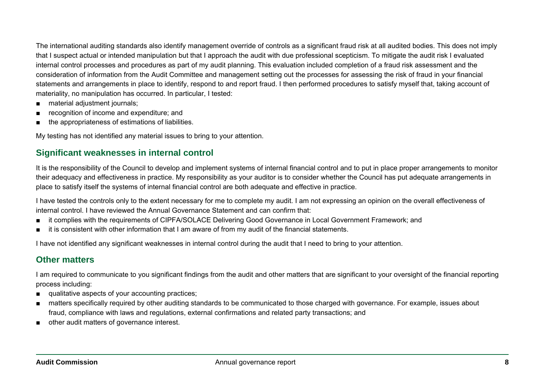The international auditing standards also identify management override of controls as a significant fraud risk at all audited bodies. This does not imply that I suspect actual or intended manipulation but that I approach the audit with due professional scepticism. To mitigate the audit risk I evaluated internal control processes and procedures as part of my audit planning. This evaluation included completion of a fraud risk assessment and the consideration of information from the Audit Committee and management setting out the processes for assessing the risk of fraud in your financial statements and arrangements in place to identify, respond to and report fraud. I then performed procedures to satisfy myself that, taking account of materiality, no manipulation has occurred. In particular, I tested:

- material adjustment journals;
- recognition of income and expenditure; and
- the appropriateness of estimations of liabilities.

My testing has not identified any material issues to bring to your attention.

#### **Significant weaknesses in internal control**

It is the responsibility of the Council to develop and implement systems of internal financial control and to put in place proper arrangements to monitor their adequacy and effectiveness in practice. My responsibility as your auditor is to consider whether the Council has put adequate arrangements in place to satisfy itself the systems of internal financial control are both adequate and effective in practice.

I have tested the controls only to the extent necessary for me to complete my audit. I am not expressing an opinion on the overall effectiveness of internal control. I have reviewed the Annual Governance Statement and can confirm that:

- it complies with the requirements of CIPFA/SOLACE Delivering Good Governance in Local Government Framework; and
- it is consistent with other information that I am aware of from my audit of the financial statements.

I have not identified any significant weaknesses in internal control during the audit that I need to bring to your attention.

#### **Other matters**

I am required to communicate to you significant findings from the audit and other matters that are significant to your oversight of the financial reporting process including:

- qualitative aspects of your accounting practices;
- matters specifically required by other auditing standards to be communicated to those charged with governance. For example, issues about fraud, compliance with laws and regulations, external confirmations and related party transactions; and
- other audit matters of governance interest.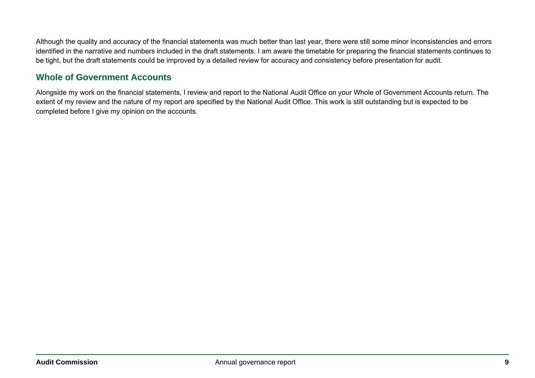Although the quality and accuracy of the financial statements was much better than last year, there were still some minor inconsistencies and errors identified in the narrative and numbers included in the draft statements. I am aware the timetable for preparing the financial statements continues to be tight, but the draft statements could be improved by a detailed review for accuracy and consistency before presentation for audit.

#### **Whole of Government Accounts**

Alongside my work on the financial statements, I review and report to the National Audit Office on your Whole of Government Accounts return. The extent of my review and the nature of my report are specified by the National Audit Office. This work is still outstanding but is expected to be completed before I give my opinion on the accounts.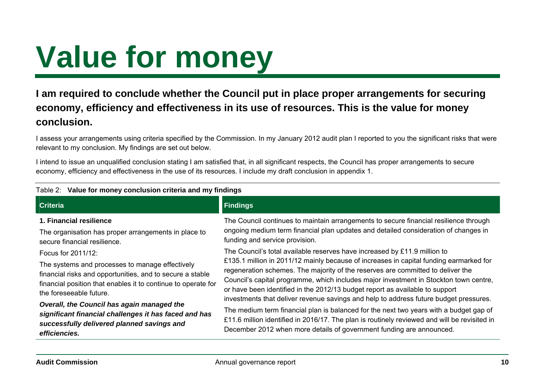# <span id="page-9-0"></span>**Value for money**

### **I am required to conclude whether the Council put in place proper arrangements for securing economy, efficiency and effectiveness in its use of resources. This is the value for money conclusion.**

I assess your arrangements using criteria specified by the Commission. In my January 2012 audit plan I reported to you the significant risks that were relevant to my conclusion. My findings are set out below.

I intend to issue an unqualified conclusion stating I am satisfied that, in all significant respects, the Council has proper arrangements to secure economy, efficiency and effectiveness in the use of its resources. I include my draft conclusion in appendix 1.

| <b>Criteria</b>                                                                                                                                                                                                                | <b>Findings</b>                                                                                                                                                                                                                                                                                                                                                                                                                                                                                                          |
|--------------------------------------------------------------------------------------------------------------------------------------------------------------------------------------------------------------------------------|--------------------------------------------------------------------------------------------------------------------------------------------------------------------------------------------------------------------------------------------------------------------------------------------------------------------------------------------------------------------------------------------------------------------------------------------------------------------------------------------------------------------------|
| 1. Financial resilience<br>The organisation has proper arrangements in place to<br>secure financial resilience.                                                                                                                | The Council continues to maintain arrangements to secure financial resilience through<br>ongoing medium term financial plan updates and detailed consideration of changes in<br>funding and service provision.                                                                                                                                                                                                                                                                                                           |
| Focus for 2011/12:<br>The systems and processes to manage effectively<br>financial risks and opportunities, and to secure a stable<br>financial position that enables it to continue to operate for<br>the foreseeable future. | The Council's total available reserves have increased by £11.9 million to<br>£135.1 million in 2011/12 mainly because of increases in capital funding earmarked for<br>regeneration schemes. The majority of the reserves are committed to deliver the<br>Council's capital programme, which includes major investment in Stockton town centre,<br>or have been identified in the 2012/13 budget report as available to support<br>investments that deliver revenue savings and help to address future budget pressures. |
| Overall, the Council has again managed the<br>significant financial challenges it has faced and has<br>successfully delivered planned savings and<br>efficiencies.                                                             | The medium term financial plan is balanced for the next two years with a budget gap of<br>£11.6 million identified in 2016/17. The plan is routinely reviewed and will be revisited in<br>December 2012 when more details of government funding are announced.                                                                                                                                                                                                                                                           |

#### Table 2: **Value for money conclusion criteria and my findings**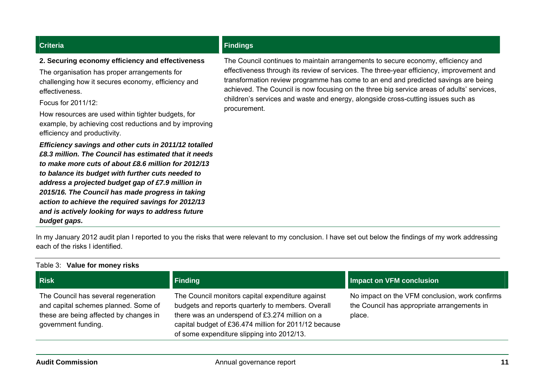#### **2. Securing economy efficiency and effectiveness**

The organisation has proper arrangements for challenging how it secures economy, efficiency and effectiveness.

Focus for 2011/12:

How resources are used within tighter budgets, for example, by achieving cost reductions and by improving efficiency and productivity.

*Efficiency savings and other cuts in 2011/12 totalled £8.3 million. The Council has estimated that it needs to make more cuts of about £8.6 million for 2012/13 to balance its budget with further cuts needed to address a projected budget gap of £7.9 million in 2015/16. The Council has made progress in taking action to achieve the required savings for 2012/13 and is actively looking for ways to address future budget gaps.*

#### **Criteria Findings Criteria Findings**

The Council continues to maintain arrangements to secure economy, efficiency and effectiveness through its review of services. The three-year efficiency, improvement and transformation review programme has come to an end and predicted savings are being achieved. The Council is now focusing on the three big service areas of adults' services, children's services and waste and energy, alongside cross-cutting issues such as procurement.

In my January 2012 audit plan I reported to you the risks that were relevant to my conclusion. I have set out below the findings of my work addressing each of the risks I identified.

| Table 3: Value for money risks                                                                                                                |                                                                                                                                                                                                                                                                |                                                                                                         |
|-----------------------------------------------------------------------------------------------------------------------------------------------|----------------------------------------------------------------------------------------------------------------------------------------------------------------------------------------------------------------------------------------------------------------|---------------------------------------------------------------------------------------------------------|
| <b>Risk</b>                                                                                                                                   | Finding                                                                                                                                                                                                                                                        | Impact on VFM conclusion                                                                                |
| The Council has several regeneration<br>and capital schemes planned. Some of<br>these are being affected by changes in<br>government funding. | The Council monitors capital expenditure against<br>budgets and reports quarterly to members. Overall<br>there was an underspend of £3.274 million on a<br>capital budget of £36.474 million for 2011/12 because<br>of some expenditure slipping into 2012/13. | No impact on the VFM conclusion, work confirms<br>the Council has appropriate arrangements in<br>place. |
|                                                                                                                                               |                                                                                                                                                                                                                                                                |                                                                                                         |

#### **Audit Commission**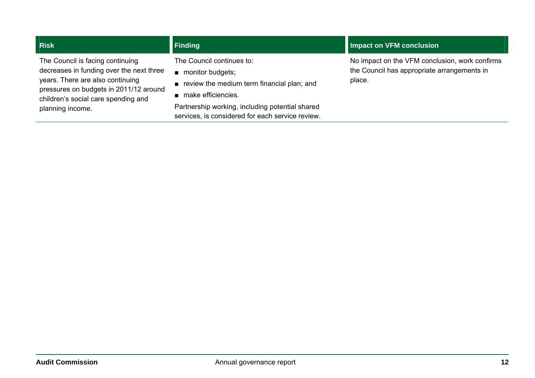The Council is facing continuing decreases in funding over the next three years. There are also continuing pressures on budgets in 2011/12 around children's social care spending and planning income.

The Council continues to:

- monitor budgets;
- review the medium term financial plan; and
- make efficiencies.

Partnership working, including potential shared services, is considered for each service review.

#### **Risk Finding The Property of Section** 2014 **The Property of Conclusion 2014 Impact on VFM conclusion**

No impact on the VFM conclusion, work confirms the Council has appropriate arrangements in place.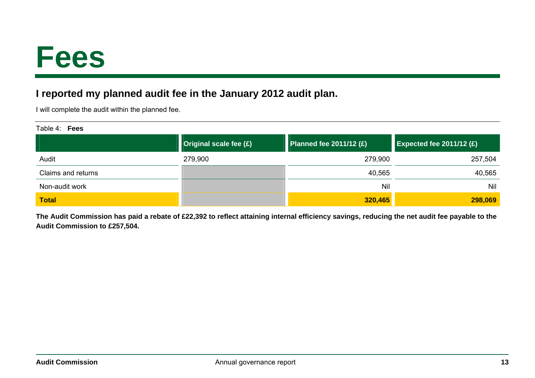### <span id="page-12-0"></span>**Fees**

### **I reported my planned audit fee in the January 2012 audit plan.**

I will complete the audit within the planned fee.

| Table 4:<br><b>Fees</b> |                        |                           |                            |  |  |  |
|-------------------------|------------------------|---------------------------|----------------------------|--|--|--|
|                         | Original scale fee (£) | Planned fee $2011/12$ (£) | Expected fee $2011/12$ (£) |  |  |  |
| Audit                   | 279,900                | 279,900                   | 257,504                    |  |  |  |
| Claims and returns      |                        | 40,565                    | 40,565                     |  |  |  |
| Non-audit work          |                        | Nil                       | Nil                        |  |  |  |
| <b>Total</b>            |                        | 320,465                   | 298,069                    |  |  |  |

**The Audit Commission has paid a rebate of £22,392 to reflect attaining internal efficiency savings, reducing the net audit fee payable to the Audit Commission to £257,504.**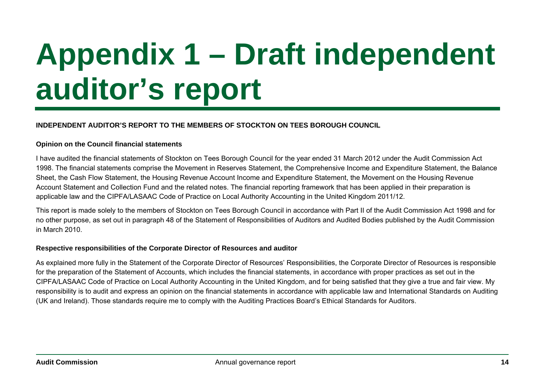# <span id="page-13-0"></span>**Appendix 1 – Draft independent auditor's report**

#### **INDEPENDENT AUDITOR'S REPORT TO THE MEMBERS OF STOCKTON ON TEES BOROUGH COUNCIL**

#### **Opinion on the Council financial statements**

I have audited the financial statements of Stockton on Tees Borough Council for the year ended 31 March 2012 under the Audit Commission Act 1998. The financial statements comprise the Movement in Reserves Statement, the Comprehensive Income and Expenditure Statement, the Balance Sheet, the Cash Flow Statement, the Housing Revenue Account Income and Expenditure Statement, the Movement on the Housing Revenue Account Statement and Collection Fund and the related notes. The financial reporting framework that has been applied in their preparation is applicable law and the CIPFA/LASAAC Code of Practice on Local Authority Accounting in the United Kingdom 2011/12.

This report is made solely to the members of Stockton on Tees Borough Council in accordance with Part II of the Audit Commission Act 1998 and for no other purpose, as set out in paragraph 48 of the Statement of Responsibilities of Auditors and Audited Bodies published by the Audit Commission in March 2010.

#### **Respective responsibilities of the Corporate Director of Resources and auditor**

As explained more fully in the Statement of the Corporate Director of Resources' Responsibilities, the Corporate Director of Resources is responsible for the preparation of the Statement of Accounts, which includes the financial statements, in accordance with proper practices as set out in the CIPFA/LASAAC Code of Practice on Local Authority Accounting in the United Kingdom, and for being satisfied that they give a true and fair view. My responsibility is to audit and express an opinion on the financial statements in accordance with applicable law and International Standards on Auditing (UK and Ireland). Those standards require me to comply with the Auditing Practices Board's Ethical Standards for Auditors.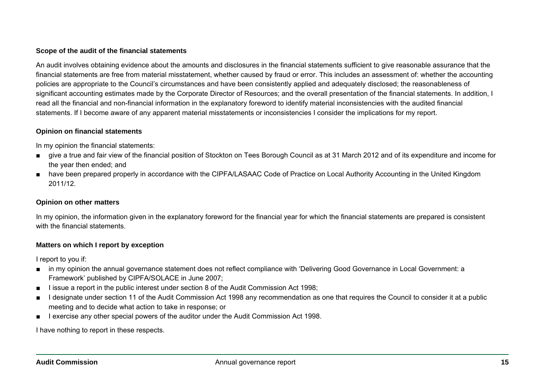#### **Scope of the audit of the financial statements**

An audit involves obtaining evidence about the amounts and disclosures in the financial statements sufficient to give reasonable assurance that the financial statements are free from material misstatement, whether caused by fraud or error. This includes an assessment of: whether the accounting policies are appropriate to the Council's circumstances and have been consistently applied and adequately disclosed; the reasonableness of significant accounting estimates made by the Corporate Director of Resources; and the overall presentation of the financial statements. In addition, I read all the financial and non-financial information in the explanatory foreword to identify material inconsistencies with the audited financial statements. If I become aware of any apparent material misstatements or inconsistencies I consider the implications for my report.

#### **Opinion on financial statements**

In my opinion the financial statements:

- give a true and fair view of the financial position of Stockton on Tees Borough Council as at 31 March 2012 and of its expenditure and income for the year then ended; and
- have been prepared properly in accordance with the CIPFA/LASAAC Code of Practice on Local Authority Accounting in the United Kingdom 2011/12.

#### **Opinion on other matters**

In my opinion, the information given in the explanatory foreword for the financial year for which the financial statements are prepared is consistent with the financial statements.

#### **Matters on which I report by exception**

I report to you if:

- in my opinion the annual governance statement does not reflect compliance with 'Delivering Good Governance in Local Government: a Framework' published by CIPFA/SOLACE in June 2007;
- I issue a report in the public interest under section 8 of the Audit Commission Act 1998;
- I designate under section 11 of the Audit Commission Act 1998 any recommendation as one that requires the Council to consider it at a public meeting and to decide what action to take in response; or
- I exercise any other special powers of the auditor under the Audit Commission Act 1998.

I have nothing to report in these respects.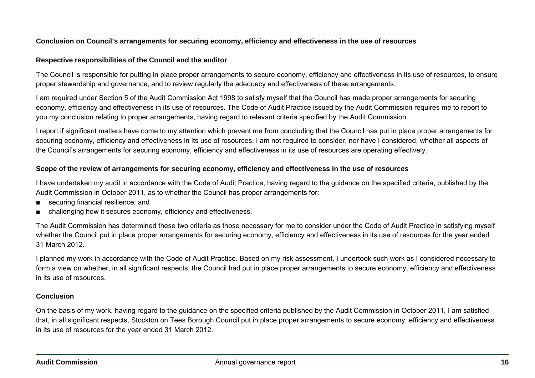#### **Conclusion on Council's arrangements for securing economy, efficiency and effectiveness in the use of resources**

#### **Respective responsibilities of the Council and the auditor**

The Council is responsible for putting in place proper arrangements to secure economy, efficiency and effectiveness in its use of resources, to ensure proper stewardship and governance, and to review regularly the adequacy and effectiveness of these arrangements.

I am required under Section 5 of the Audit Commission Act 1998 to satisfy myself that the Council has made proper arrangements for securing economy, efficiency and effectiveness in its use of resources. The Code of Audit Practice issued by the Audit Commission requires me to report to you my conclusion relating to proper arrangements, having regard to relevant criteria specified by the Audit Commission.

I report if significant matters have come to my attention which prevent me from concluding that the Council has put in place proper arrangements for securing economy, efficiency and effectiveness in its use of resources. I am not required to consider, nor have I considered, whether all aspects of the Council's arrangements for securing economy, efficiency and effectiveness in its use of resources are operating effectively.

#### **Scope of the review of arrangements for securing economy, efficiency and effectiveness in the use of resources**

I have undertaken my audit in accordance with the Code of Audit Practice, having regard to the guidance on the specified criteria, published by the Audit Commission in October 2011, as to whether the Council has proper arrangements for:

- securing financial resilience; and
- challenging how it secures economy, efficiency and effectiveness.

The Audit Commission has determined these two criteria as those necessary for me to consider under the Code of Audit Practice in satisfying myself whether the Council put in place proper arrangements for securing economy, efficiency and effectiveness in its use of resources for the year ended 31 March 2012.

I planned my work in accordance with the Code of Audit Practice. Based on my risk assessment, I undertook such work as I considered necessary to form a view on whether, in all significant respects, the Council had put in place proper arrangements to secure economy, efficiency and effectiveness in its use of resources.

#### **Conclusion**

On the basis of my work, having regard to the guidance on the specified criteria published by the Audit Commission in October 2011, I am satisfied that, in all significant respects, Stockton on Tees Borough Council put in place proper arrangements to secure economy, efficiency and effectiveness in its use of resources for the year ended 31 March 2012.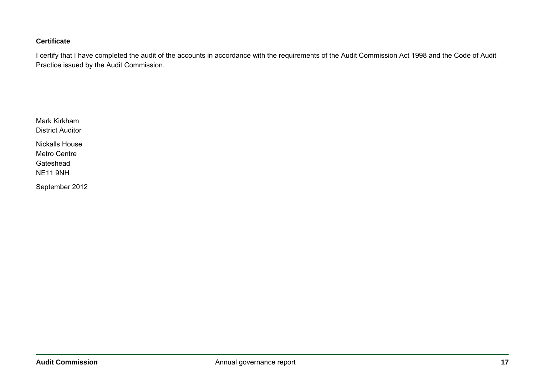#### **Certificate**

I certify that I have completed the audit of the accounts in accordance with the requirements of the Audit Commission Act 1998 and the Code of Audit Practice issued by the Audit Commission.

Mark Kirkham District Auditor

Nickalls House Metro Centre Gateshead NE11 9NH

September 2012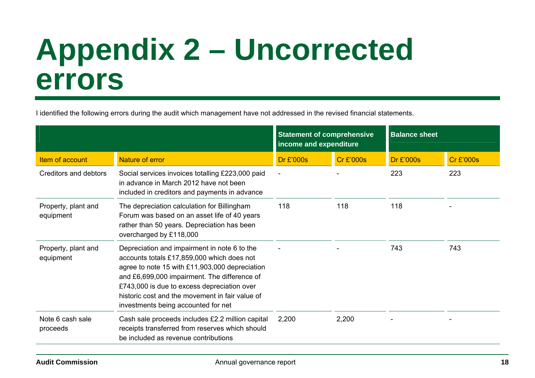### <span id="page-17-0"></span>**Appendix 2 – Uncorrected errors**

I identified the following errors during the audit which management have not addressed in the revised financial statements.

|                                  |                                                                                                                                                                                                                                                                                                                                       | <b>Statement of comprehensive</b><br>income and expenditure |                  | <b>Balance sheet</b> |                  |
|----------------------------------|---------------------------------------------------------------------------------------------------------------------------------------------------------------------------------------------------------------------------------------------------------------------------------------------------------------------------------------|-------------------------------------------------------------|------------------|----------------------|------------------|
| Item of account                  | <b>Nature of error</b>                                                                                                                                                                                                                                                                                                                | <b>Dr £'000s</b>                                            | <b>Cr £'000s</b> | <b>Dr £'000s</b>     | <b>Cr £'000s</b> |
| Creditors and debtors            | Social services invoices totalling £223,000 paid<br>in advance in March 2012 have not been<br>included in creditors and payments in advance                                                                                                                                                                                           |                                                             |                  | 223                  | 223              |
| Property, plant and<br>equipment | The depreciation calculation for Billingham<br>Forum was based on an asset life of 40 years<br>rather than 50 years. Depreciation has been<br>overcharged by £118,000                                                                                                                                                                 | 118                                                         | 118              | 118                  |                  |
| Property, plant and<br>equipment | Depreciation and impairment in note 6 to the<br>accounts totals £17,859,000 which does not<br>agree to note 15 with £11,903,000 depreciation<br>and £6,699,000 impairment. The difference of<br>£743,000 is due to excess depreciation over<br>historic cost and the movement in fair value of<br>investments being accounted for net |                                                             |                  | 743                  | 743              |
| Note 6 cash sale<br>proceeds     | Cash sale proceeds includes £2.2 million capital<br>receipts transferred from reserves which should<br>be included as revenue contributions                                                                                                                                                                                           | 2,200                                                       | 2,200            |                      |                  |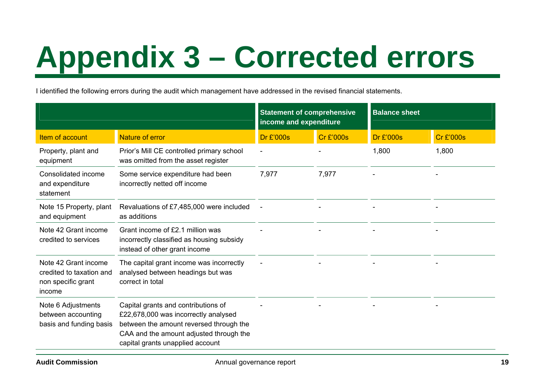# <span id="page-18-0"></span>**Appendix 3 – Corrected errors**

I identified the following errors during the audit which management have addressed in the revised financial statements.

|                                                                                  |                                                                                                                                                                                                       | <b>Statement of comprehensive</b><br>income and expenditure |                  | <b>Balance sheet</b> |                  |
|----------------------------------------------------------------------------------|-------------------------------------------------------------------------------------------------------------------------------------------------------------------------------------------------------|-------------------------------------------------------------|------------------|----------------------|------------------|
| Item of account                                                                  | <b>Nature of error</b>                                                                                                                                                                                | Dr £'000s                                                   | <b>Cr £'000s</b> | Dr £'000s            | <b>Cr £'000s</b> |
| Property, plant and<br>equipment                                                 | Prior's Mill CE controlled primary school<br>was omitted from the asset register                                                                                                                      |                                                             |                  | 1,800                | 1,800            |
| Consolidated income<br>and expenditure<br>statement                              | Some service expenditure had been<br>incorrectly netted off income                                                                                                                                    | 7,977                                                       | 7,977            |                      |                  |
| Note 15 Property, plant<br>and equipment                                         | Revaluations of £7,485,000 were included<br>as additions                                                                                                                                              |                                                             |                  |                      |                  |
| Note 42 Grant income<br>credited to services                                     | Grant income of £2.1 million was<br>incorrectly classified as housing subsidy<br>instead of other grant income                                                                                        |                                                             |                  |                      |                  |
| Note 42 Grant income<br>credited to taxation and<br>non specific grant<br>income | The capital grant income was incorrectly<br>analysed between headings but was<br>correct in total                                                                                                     |                                                             |                  |                      |                  |
| Note 6 Adjustments<br>between accounting<br>basis and funding basis              | Capital grants and contributions of<br>£22,678,000 was incorrectly analysed<br>between the amount reversed through the<br>CAA and the amount adjusted through the<br>capital grants unapplied account |                                                             |                  |                      |                  |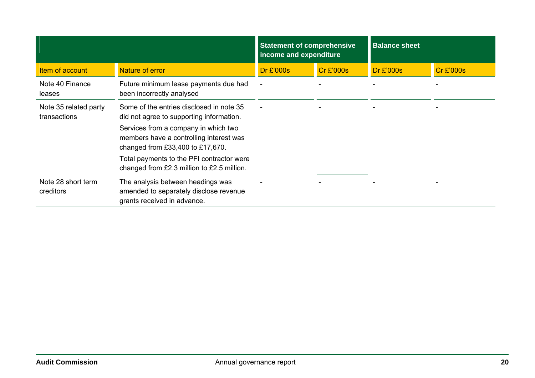|                                       |                                                                                                                     | <b>Statement of comprehensive</b><br>income and expenditure |                  | <b>Balance sheet</b> |                  |
|---------------------------------------|---------------------------------------------------------------------------------------------------------------------|-------------------------------------------------------------|------------------|----------------------|------------------|
| Item of account                       | Nature of error                                                                                                     | Dr £'000s                                                   | <b>Cr £'000s</b> | Dr £'000s            | <b>Cr £'000s</b> |
| Note 40 Finance<br>leases             | Future minimum lease payments due had<br>been incorrectly analysed                                                  |                                                             |                  |                      |                  |
| Note 35 related party<br>transactions | Some of the entries disclosed in note 35<br>did not agree to supporting information.                                |                                                             |                  |                      |                  |
|                                       | Services from a company in which two<br>members have a controlling interest was<br>changed from £33,400 to £17,670. |                                                             |                  |                      |                  |
|                                       | Total payments to the PFI contractor were<br>changed from £2.3 million to £2.5 million.                             |                                                             |                  |                      |                  |
| Note 28 short term<br>creditors       | The analysis between headings was<br>amended to separately disclose revenue<br>grants received in advance.          |                                                             |                  |                      |                  |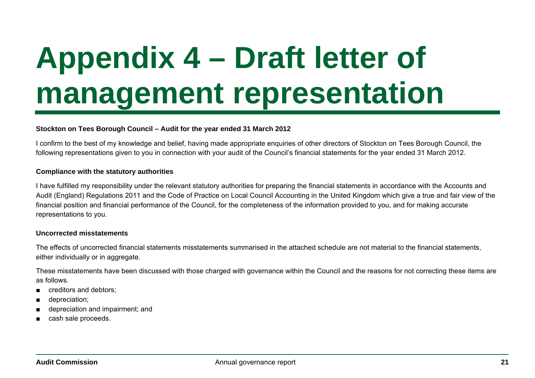## <span id="page-20-0"></span>**Appendix 4 – Draft letter of management representation**

#### **Stockton on Tees Borough Council – Audit for the year ended 31 March 2012**

I confirm to the best of my knowledge and belief, having made appropriate enquiries of other directors of Stockton on Tees Borough Council, the following representations given to you in connection with your audit of the Council's financial statements for the year ended 31 March 2012.

#### **Compliance with the statutory authorities**

I have fulfilled my responsibility under the relevant statutory authorities for preparing the financial statements in accordance with the Accounts and Audit (England) Regulations 2011 and the Code of Practice on Local Council Accounting in the United Kingdom which give a true and fair view of the financial position and financial performance of the Council, for the completeness of the information provided to you, and for making accurate representations to you.

#### **Uncorrected misstatements**

The effects of uncorrected financial statements misstatements summarised in the attached schedule are not material to the financial statements, either individually or in aggregate.

These misstatements have been discussed with those charged with governance within the Council and the reasons for not correcting these items are as follows.

- creditors and debtors:
- depreciation;
- depreciation and impairment; and
- cash sale proceeds.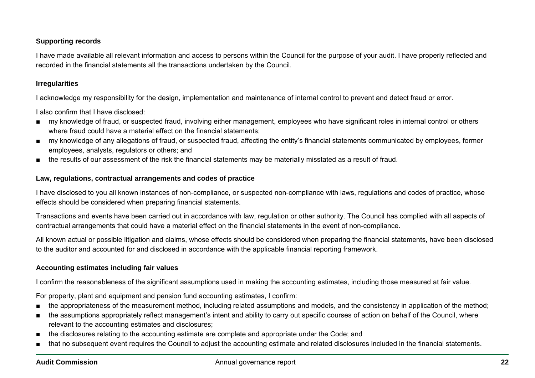#### **Supporting records**

I have made available all relevant information and access to persons within the Council for the purpose of your audit. I have properly reflected and recorded in the financial statements all the transactions undertaken by the Council.

#### **Irregularities**

I acknowledge my responsibility for the design, implementation and maintenance of internal control to prevent and detect fraud or error.

I also confirm that I have disclosed:

- my knowledge of fraud, or suspected fraud, involving either management, employees who have significant roles in internal control or others where fraud could have a material effect on the financial statements;
- my knowledge of any allegations of fraud, or suspected fraud, affecting the entity's financial statements communicated by employees, former employees, analysts, regulators or others; and
- the results of our assessment of the risk the financial statements may be materially misstated as a result of fraud.

#### **Law, regulations, contractual arrangements and codes of practice**

I have disclosed to you all known instances of non-compliance, or suspected non-compliance with laws, regulations and codes of practice, whose effects should be considered when preparing financial statements.

Transactions and events have been carried out in accordance with law, regulation or other authority. The Council has complied with all aspects of contractual arrangements that could have a material effect on the financial statements in the event of non-compliance.

All known actual or possible litigation and claims, whose effects should be considered when preparing the financial statements, have been disclosed to the auditor and accounted for and disclosed in accordance with the applicable financial reporting framework.

#### **Accounting estimates including fair values**

I confirm the reasonableness of the significant assumptions used in making the accounting estimates, including those measured at fair value.

For property, plant and equipment and pension fund accounting estimates, I confirm:

- the appropriateness of the measurement method, including related assumptions and models, and the consistency in application of the method;
- the assumptions appropriately reflect management's intent and ability to carry out specific courses of action on behalf of the Council, where relevant to the accounting estimates and disclosures;
- the disclosures relating to the accounting estimate are complete and appropriate under the Code; and
- that no subsequent event requires the Council to adjust the accounting estimate and related disclosures included in the financial statements.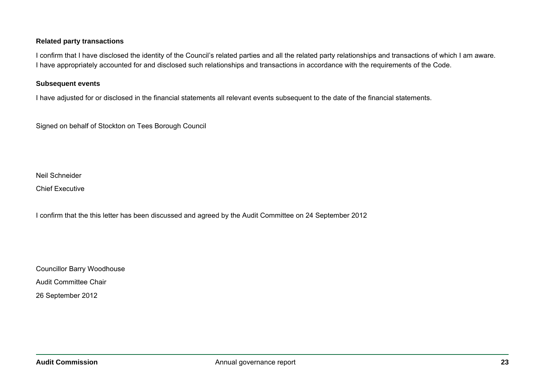#### **Related party transactions**

I confirm that I have disclosed the identity of the Council's related parties and all the related party relationships and transactions of which I am aware. I have appropriately accounted for and disclosed such relationships and transactions in accordance with the requirements of the Code.

#### **Subsequent events**

I have adjusted for or disclosed in the financial statements all relevant events subsequent to the date of the financial statements.

Signed on behalf of Stockton on Tees Borough Council

Neil Schneider

Chief Executive

I confirm that the this letter has been discussed and agreed by the Audit Committee on 24 September 2012

Councillor Barry Woodhouse Audit Committee Chair 26 September 2012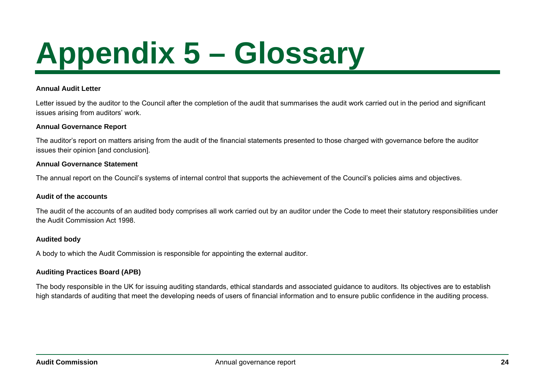# <span id="page-23-0"></span>**Appendix 5 – Glossary**

#### **Annual Audit Letter**

Letter issued by the auditor to the Council after the completion of the audit that summarises the audit work carried out in the period and significant issues arising from auditors' work.

#### **Annual Governance Report**

The auditor's report on matters arising from the audit of the financial statements presented to those charged with governance before the auditor issues their opinion [and conclusion].

#### **Annual Governance Statement**

The annual report on the Council's systems of internal control that supports the achievement of the Council's policies aims and objectives.

#### **Audit of the accounts**

The audit of the accounts of an audited body comprises all work carried out by an auditor under the Code to meet their statutory responsibilities under the Audit Commission Act 1998.

#### **Audited body**

A body to which the Audit Commission is responsible for appointing the external auditor.

#### **Auditing Practices Board (APB)**

The body responsible in the UK for issuing auditing standards, ethical standards and associated guidance to auditors. Its objectives are to establish high standards of auditing that meet the developing needs of users of financial information and to ensure public confidence in the auditing process.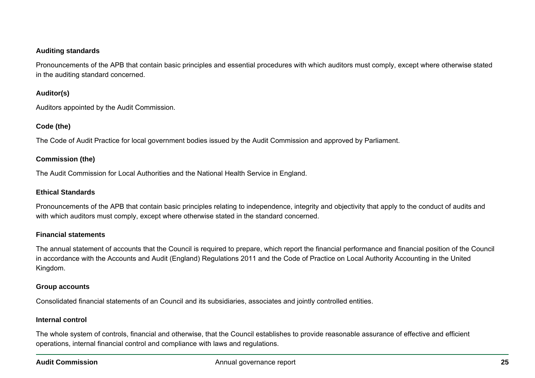#### **Auditing standards**

Pronouncements of the APB that contain basic principles and essential procedures with which auditors must comply, except where otherwise stated in the auditing standard concerned.

#### **Auditor(s)**

Auditors appointed by the Audit Commission.

#### **Code (the)**

The Code of Audit Practice for local government bodies issued by the Audit Commission and approved by Parliament.

#### **Commission (the)**

The Audit Commission for Local Authorities and the National Health Service in England.

#### **Ethical Standards**

Pronouncements of the APB that contain basic principles relating to independence, integrity and objectivity that apply to the conduct of audits and with which auditors must comply, except where otherwise stated in the standard concerned.

#### **Financial statements**

The annual statement of accounts that the Council is required to prepare, which report the financial performance and financial position of the Council in accordance with the Accounts and Audit (England) Regulations 2011 and the Code of Practice on Local Authority Accounting in the United Kingdom.

#### **Group accounts**

Consolidated financial statements of an Council and its subsidiaries, associates and jointly controlled entities.

#### **Internal control**

The whole system of controls, financial and otherwise, that the Council establishes to provide reasonable assurance of effective and efficient operations, internal financial control and compliance with laws and regulations.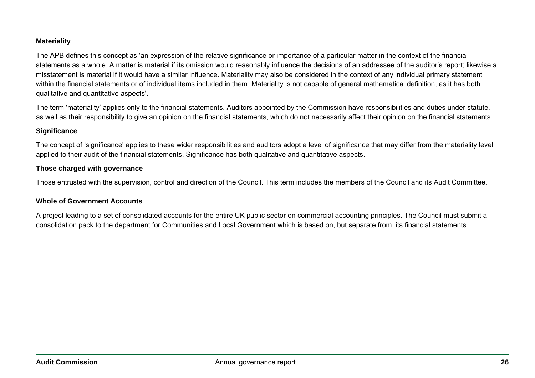#### **Materiality**

The APB defines this concept as 'an expression of the relative significance or importance of a particular matter in the context of the financial statements as a whole. A matter is material if its omission would reasonably influence the decisions of an addressee of the auditor's report; likewise a misstatement is material if it would have a similar influence. Materiality may also be considered in the context of any individual primary statement within the financial statements or of individual items included in them. Materiality is not capable of general mathematical definition, as it has both qualitative and quantitative aspects'.

The term 'materiality' applies only to the financial statements. Auditors appointed by the Commission have responsibilities and duties under statute, as well as their responsibility to give an opinion on the financial statements, which do not necessarily affect their opinion on the financial statements.

#### **Significance**

The concept of 'significance' applies to these wider responsibilities and auditors adopt a level of significance that may differ from the materiality level applied to their audit of the financial statements. Significance has both qualitative and quantitative aspects.

#### **Those charged with governance**

Those entrusted with the supervision, control and direction of the Council. This term includes the members of the Council and its Audit Committee.

#### **Whole of Government Accounts**

A project leading to a set of consolidated accounts for the entire UK public sector on commercial accounting principles. The Council must submit a consolidation pack to the department for Communities and Local Government which is based on, but separate from, its financial statements.